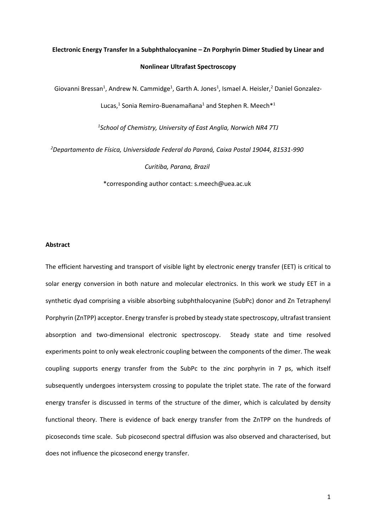# **Electronic Energy Transfer In a Subphthalocyanine – Zn Porphyrin Dimer Studied by Linear and Nonlinear Ultrafast Spectroscopy**

Giovanni Bressan<sup>1</sup>, Andrew N. Cammidge<sup>1</sup>, Garth A. Jones<sup>1</sup>, Ismael A. Heisler,<sup>2</sup> Daniel Gonzalez-

Lucas,<sup>1</sup> Sonia Remiro-Buenamañana<sup>1</sup> and Stephen R. Meech<sup>\*1</sup>

*1 School of Chemistry, University of East Anglia, Norwich NR4 7TJ* 

*<sup>2</sup>Departamento de Física, Universidade Federal do Paraná, Caixa Postal 19044, 81531-990* 

*Curitiba, Parana, Brazil* 

\*corresponding author contact: s.meech@uea.ac.uk

## **Abstract**

The efficient harvesting and transport of visible light by electronic energy transfer (EET) is critical to solar energy conversion in both nature and molecular electronics. In this work we study EET in a synthetic dyad comprising a visible absorbing subphthalocyanine (SubPc) donor and Zn Tetraphenyl Porphyrin (ZnTPP) acceptor. Energy transfer is probed by steady state spectroscopy, ultrafast transient absorption and two-dimensional electronic spectroscopy. Steady state and time resolved experiments point to only weak electronic coupling between the components of the dimer. The weak coupling supports energy transfer from the SubPc to the zinc porphyrin in 7 ps, which itself subsequently undergoes intersystem crossing to populate the triplet state. The rate of the forward energy transfer is discussed in terms of the structure of the dimer, which is calculated by density functional theory. There is evidence of back energy transfer from the ZnTPP on the hundreds of picoseconds time scale. Sub picosecond spectral diffusion was also observed and characterised, but does not influence the picosecond energy transfer.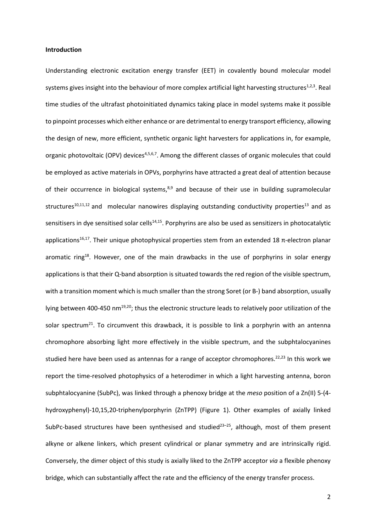### **Introduction**

Understanding electronic excitation energy transfer (EET) in covalently bound molecular model systems gives insight into the behaviour of more complex artificial light harvesting structures<sup>1,2,3</sup>. Real time studies of the ultrafast photoinitiated dynamics taking place in model systems make it possible to pinpoint processes which either enhance or are detrimental to energy transport efficiency, allowing the design of new, more efficient, synthetic organic light harvesters for applications in, for example, organic photovoltaic (OPV) devices<sup>4,5,6,7</sup>. Among the different classes of organic molecules that could be employed as active materials in OPVs, porphyrins have attracted a great deal of attention because of their occurrence in biological systems, $8,9$  and because of their use in building supramolecular structures<sup>10,11,12</sup> and molecular nanowires displaying outstanding conductivity properties<sup>13</sup> and as sensitisers in dye sensitised solar cells<sup>14,15</sup>. Porphyrins are also be used as sensitizers in photocatalytic applications<sup>16,17</sup>. Their unique photophysical properties stem from an extended 18  $\pi$ -electron planar aromatic ring<sup>18</sup>. However, one of the main drawbacks in the use of porphyrins in solar energy applications is that their Q-band absorption is situated towards the red region of the visible spectrum, with a transition moment which is much smaller than the strong Soret (or B-) band absorption, usually lying between 400-450 nm<sup>19,20</sup>; thus the electronic structure leads to relatively poor utilization of the solar spectrum<sup>21</sup>. To circumvent this drawback, it is possible to link a porphyrin with an antenna chromophore absorbing light more effectively in the visible spectrum, and the subphtalocyanines studied here have been used as antennas for a range of acceptor chromophores.<sup>22,23</sup> In this work we report the time-resolved photophysics of a heterodimer in which a light harvesting antenna, boron subphtalocyanine (SubPc), was linked through a phenoxy bridge at the *meso* position of a Zn(II) 5-(4 hydroxyphenyl)-10,15,20-triphenylporphyrin (ZnTPP) (Figure 1). Other examples of axially linked SubPc-based structures have been synthesised and studied $^{23-25}$ , although, most of them present alkyne or alkene linkers, which present cylindrical or planar symmetry and are intrinsically rigid. Conversely, the dimer object of this study is axially liked to the ZnTPP acceptor *via* a flexible phenoxy bridge, which can substantially affect the rate and the efficiency of the energy transfer process.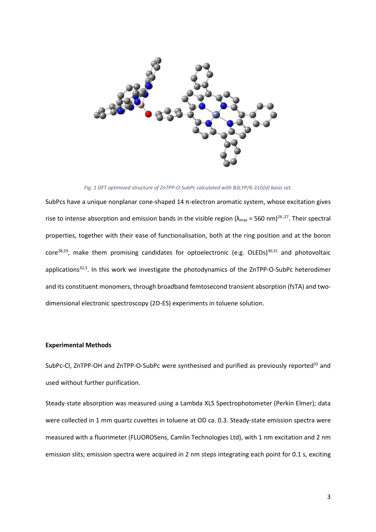

*Fig. 1 DFT optimised structure of ZnTPP-O-SubPc calculated with B3LYP/6-31G(d) basis set.* 

SubPcs have a unique nonplanar cone-shaped 14 π-electron aromatic system, whose excitation gives rise to intense absorption and emission bands in the visible region ( $\lambda_{\text{max}}$  = 560 nm)<sup>26,27</sup>. Their spectral properties, together with their ease of functionalisation, both at the ring position and at the boron core<sup>28,29</sup>, make them promising candidates for optoelectronic (e.g. OLEDs)<sup>30,31</sup> and photovoltaic applications<sup>32,3</sup>. In this work we investigate the photodynamics of the ZnTPP-O-SubPc heterodimer and its constituent monomers, through broadband femtosecond transient absorption (fsTA) and twodimensional electronic spectroscopy (2D-ES) experiments in toluene solution.

## **Experimental Methods**

SubPc-Cl, ZnTPP-OH and ZnTPP-O-SubPc were synthesised and purified as previously reported<sup>33</sup> and used without further purification.

Steady-state absorption was measured using a Lambda XLS Spectrophotometer (Perkin Elmer); data were collected in 1 mm quartz cuvettes in toluene at OD ca. 0.3. Steady-state emission spectra were measured with a fluorimeter (FLUOROSens, Camlin Technologies Ltd), with 1 nm excitation and 2 nm emission slits; emission spectra were acquired in 2 nm steps integrating each point for 0.1 s, exciting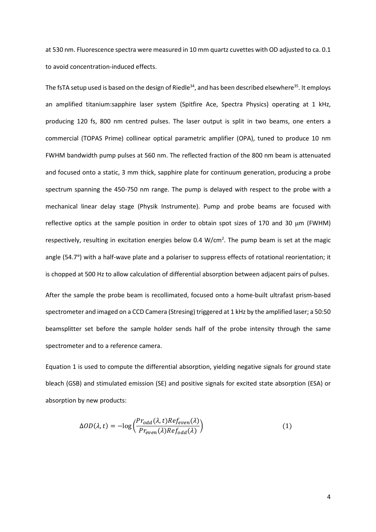at 530 nm. Fluorescence spectra were measured in 10 mm quartz cuvettes with OD adjusted to ca. 0.1 to avoid concentration-induced effects.

The fsTA setup used is based on the design of Riedle<sup>34</sup>, and has been described elsewhere<sup>35</sup>. It employs an amplified titanium:sapphire laser system (Spitfire Ace, Spectra Physics) operating at 1 kHz, producing 120 fs, 800 nm centred pulses. The laser output is split in two beams, one enters a commercial (TOPAS Prime) collinear optical parametric amplifier (OPA), tuned to produce 10 nm FWHM bandwidth pump pulses at 560 nm. The reflected fraction of the 800 nm beam is attenuated and focused onto a static, 3 mm thick, sapphire plate for continuum generation, producing a probe spectrum spanning the 450-750 nm range. The pump is delayed with respect to the probe with a mechanical linear delay stage (Physik Instrumente). Pump and probe beams are focused with reflective optics at the sample position in order to obtain spot sizes of 170 and 30 μm (FWHM) respectively, resulting in excitation energies below 0.4 W/cm<sup>2</sup>. The pump beam is set at the magic angle (54.7**°**) with a half-wave plate and a polariser to suppress effects of rotational reorientation; it is chopped at 500 Hz to allow calculation of differential absorption between adjacent pairs of pulses.

After the sample the probe beam is recollimated, focused onto a home-built ultrafast prism-based spectrometer and imaged on a CCD Camera (Stresing) triggered at 1 kHz by the amplified laser; a 50:50 beamsplitter set before the sample holder sends half of the probe intensity through the same spectrometer and to a reference camera.

Equation 1 is used to compute the differential absorption, yielding negative signals for ground state bleach (GSB) and stimulated emission (SE) and positive signals for excited state absorption (ESA) or absorption by new products:

$$
\Delta OD(\lambda, t) = -\log \left( \frac{Pro_{odd}(\lambda, t) Re_{feven}(\lambda)}{Pre_{even}(\lambda) Re_{fodd}(\lambda)} \right)
$$
(1)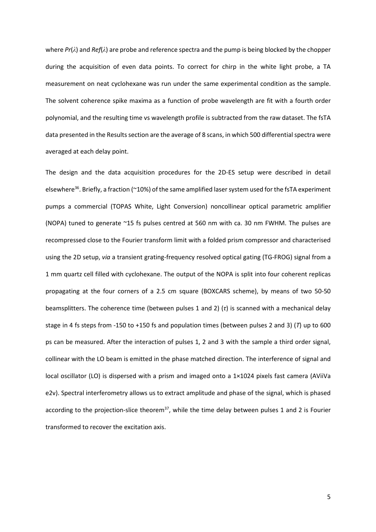where *Pr*(*λ*) and *Ref*(*λ*) are probe and reference spectra and the pump is being blocked by the chopper during the acquisition of even data points. To correct for chirp in the white light probe, a TA measurement on neat cyclohexane was run under the same experimental condition as the sample. The solvent coherence spike maxima as a function of probe wavelength are fit with a fourth order polynomial, and the resulting time vs wavelength profile is subtracted from the raw dataset. The fsTA data presented in the Results section are the average of 8 scans, in which 500 differential spectra were averaged at each delay point.

The design and the data acquisition procedures for the 2D-ES setup were described in detail elsewhere<sup>36</sup>. Briefly, a fraction ( $\approx$ 10%) of the same amplified laser system used for the fsTA experiment pumps a commercial (TOPAS White, Light Conversion) noncollinear optical parametric amplifier (NOPA) tuned to generate ~15 fs pulses centred at 560 nm with ca. 30 nm FWHM. The pulses are recompressed close to the Fourier transform limit with a folded prism compressor and characterised using the 2D setup, *via* a transient grating-frequency resolved optical gating (TG-FROG) signal from a 1 mm quartz cell filled with cyclohexane. The output of the NOPA is split into four coherent replicas propagating at the four corners of a 2.5 cm square (BOXCARS scheme), by means of two 50-50 beamsplitters. The coherence time (between pulses 1 and 2) (*τ*) is scanned with a mechanical delay stage in 4 fs steps from -150 to +150 fs and population times (between pulses 2 and 3) (*T*) up to 600 ps can be measured. After the interaction of pulses 1, 2 and 3 with the sample a third order signal, collinear with the LO beam is emitted in the phase matched direction. The interference of signal and local oscillator (LO) is dispersed with a prism and imaged onto a 1×1024 pixels fast camera (AViiVa e2v). Spectral interferometry allows us to extract amplitude and phase of the signal, which is phased according to the projection-slice theorem<sup>37</sup>, while the time delay between pulses 1 and 2 is Fourier transformed to recover the excitation axis.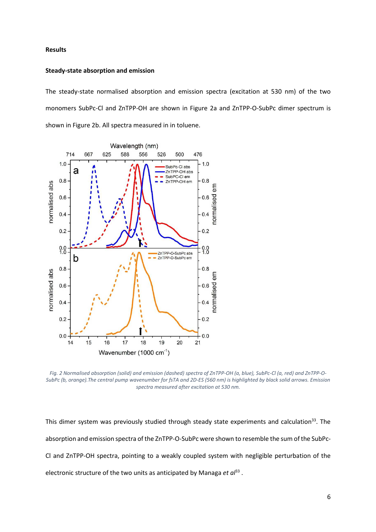## **Results**

#### **Steady-state absorption and emission**

The steady-state normalised absorption and emission spectra (excitation at 530 nm) of the two monomers SubPc-Cl and ZnTPP-OH are shown in Figure 2a and ZnTPP-O-SubPc dimer spectrum is shown in Figure 2b. All spectra measured in in toluene.



*Fig. 2 Normalised absorption (solid) and emission (dashed) spectra of ZnTPP-OH (a, blue), SubPc-Cl (a, red) and ZnTPP-O-SubPc (b, orange).The central pump wavenumber for fsTA and 2D-ES (560 nm) is highlighted by black solid arrows. Emission spectra measured after excitation at 530 nm.* 

This dimer system was previously studied through steady state experiments and calculation<sup>33</sup>. The absorption and emission spectra of the ZnTPP-O-SubPc were shown to resemble the sum of the SubPc-Cl and ZnTPP-OH spectra, pointing to a weakly coupled system with negligible perturbation of the electronic structure of the two units as anticipated by Managa *et*  $a^{33}$ *.*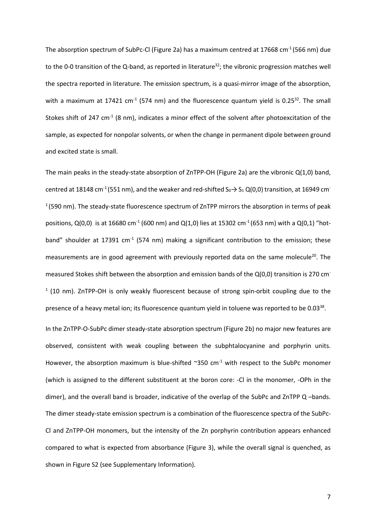The absorption spectrum of SubPc-Cl (Figure 2a) has a maximum centred at 17668 cm<sup>-1</sup> (566 nm) due to the 0-0 transition of the Q-band, as reported in literature<sup>32</sup>; the vibronic progression matches well the spectra reported in literature. The emission spectrum, is a quasi-mirror image of the absorption, with a maximum at 17421  $cm^{-1}$  (574 nm) and the fluorescence quantum yield is 0.25<sup>32</sup>. The small Stokes shift of 247 cm<sup>-1</sup> (8 nm), indicates a minor effect of the solvent after photoexcitation of the sample, as expected for nonpolar solvents, or when the change in permanent dipole between ground and excited state is small.

The main peaks in the steady-state absorption of ZnTPP-OH (Figure 2a) are the vibronic Q(1,0) band, centred at 18148 cm<sup>-1</sup> (551 nm), and the weaker and red-shifted  $S_0 \rightarrow S_1 Q(0,0)$  transition, at 16949 cm<sup>-</sup>  $1$ (590 nm). The steady-state fluorescence spectrum of ZnTPP mirrors the absorption in terms of peak positions,  $Q(0,0)$  is at 16680 cm<sup>-1</sup> (600 nm) and  $Q(1,0)$  lies at 15302 cm<sup>-1</sup> (653 nm) with a  $Q(0,1)$  "hotband" shoulder at 17391 cm<sup>-1</sup> (574 nm) making a significant contribution to the emission; these measurements are in good agreement with previously reported data on the same molecule<sup>20</sup>. The measured Stokes shift between the absorption and emission bands of the  $Q(0,0)$  transition is 270 cm<sup>-</sup>  $1$  (10 nm). ZnTPP-OH is only weakly fluorescent because of strong spin-orbit coupling due to the presence of a heavy metal ion; its fluorescence quantum yield in toluene was reported to be 0.03<sup>38</sup>.

In the ZnTPP-O-SubPc dimer steady-state absorption spectrum (Figure 2b) no major new features are observed, consistent with weak coupling between the subphtalocyanine and porphyrin units. However, the absorption maximum is blue-shifted ~350 cm<sup>-1</sup> with respect to the SubPc monomer (which is assigned to the different substituent at the boron core: -Cl in the monomer, -OPh in the dimer), and the overall band is broader, indicative of the overlap of the SubPc and ZnTPP Q –bands. The dimer steady-state emission spectrum is a combination of the fluorescence spectra of the SubPc-Cl and ZnTPP-OH monomers, but the intensity of the Zn porphyrin contribution appears enhanced compared to what is expected from absorbance (Figure 3), while the overall signal is quenched, as shown in Figure S2 (see Supplementary Information).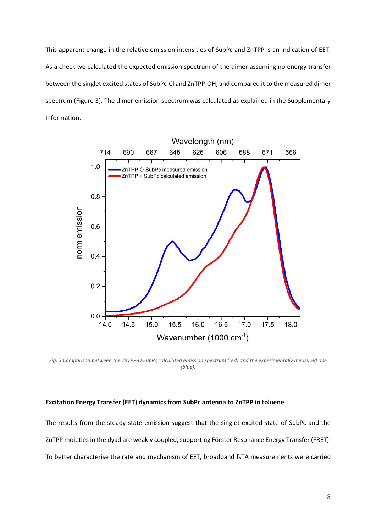This apparent change in the relative emission intensities of SubPc and ZnTPP is an indication of EET. As a check we calculated the expected emission spectrum of the dimer assuming no energy transfer between the singlet excited states of SubPc-Cl and ZnTPP-OH, and compared it to the measured dimer spectrum (Figure 3). The dimer emission spectrum was calculated as explained in the Supplementary Information.



*Fig. 3 Comparison between the ZnTPP-O-SubPc calculated emission spectrum (red) and the experimentally measured one (blue).* 

#### **Excitation Energy Transfer (EET) dynamics from SubPc antenna to ZnTPP in toluene**

The results from the steady state emission suggest that the singlet excited state of SubPc and the ZnTPP moieties in the dyad are weakly coupled, supporting Förster Resonance Energy Transfer (FRET). To better characterise the rate and mechanism of EET, broadband fsTA measurements were carried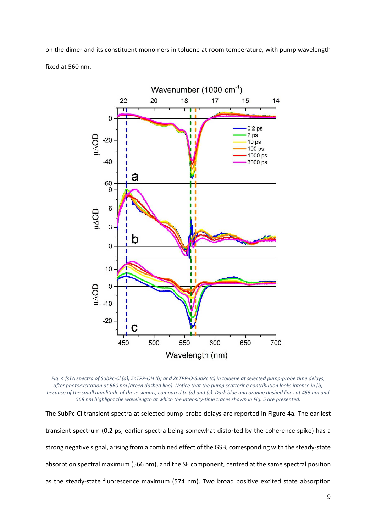on the dimer and its constituent monomers in toluene at room temperature, with pump wavelength fixed at 560 nm.



*Fig. 4 fsTA spectra of SubPc-Cl (a), ZnTPP-OH (b) and ZnTPP-O-SubPc (c) in toluene at selected pump-probe time delays, after photoexcitation at 560 nm (green dashed line). Notice that the pump scattering contribution looks intense in (b) because of the small amplitude of these signals, compared to (a) and (c). Dark blue and orange dashed lines at 455 nm and 568 nm highlight the wavelength at which the intensity-time traces shown in Fig. 5 are presented.* 

The SubPc-Cl transient spectra at selected pump-probe delays are reported in Figure 4a. The earliest transient spectrum (0.2 ps, earlier spectra being somewhat distorted by the coherence spike) has a strong negative signal, arising from a combined effect of the GSB, corresponding with the steady-state absorption spectral maximum (566 nm), and the SE component, centred at the same spectral position as the steady-state fluorescence maximum (574 nm). Two broad positive excited state absorption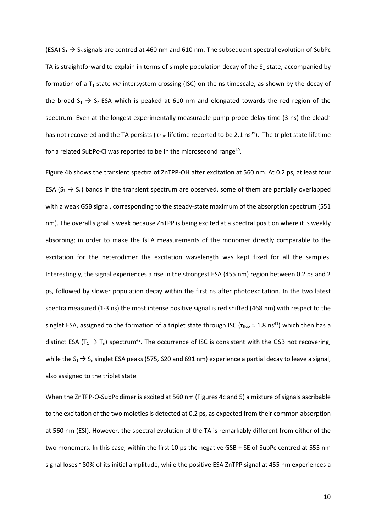(ESA)  $S_1 \rightarrow S_n$  signals are centred at 460 nm and 610 nm. The subsequent spectral evolution of SubPc TA is straightforward to explain in terms of simple population decay of the  $S_1$  state, accompanied by formation of a T<sub>1</sub> state *via* intersystem crossing (ISC) on the ns timescale, as shown by the decay of the broad  $S_1 \rightarrow S_n$  ESA which is peaked at 610 nm and elongated towards the red region of the spectrum. Even at the longest experimentally measurable pump-probe delay time (3 ns) the bleach has not recovered and the TA persists ( $\tau_{\text{fluo}}$  lifetime reported to be 2.1 ns<sup>39</sup>). The triplet state lifetime for a related SubPc-CI was reported to be in the microsecond range<sup>40</sup>.

Figure 4b shows the transient spectra of ZnTPP-OH after excitation at 560 nm. At 0.2 ps, at least four ESA ( $S_1 \rightarrow S_n$ ) bands in the transient spectrum are observed, some of them are partially overlapped with a weak GSB signal, corresponding to the steady-state maximum of the absorption spectrum (551 nm). The overall signal is weak because ZnTPP is being excited at a spectral position where it is weakly absorbing; in order to make the fsTA measurements of the monomer directly comparable to the excitation for the heterodimer the excitation wavelength was kept fixed for all the samples. Interestingly, the signal experiences a rise in the strongest ESA (455 nm) region between 0.2 ps and 2 ps, followed by slower population decay within the first ns after photoexcitation. In the two latest spectra measured (1-3 ns) the most intense positive signal is red shifted (468 nm) with respect to the singlet ESA, assigned to the formation of a triplet state through ISC ( $\tau_{\text{fluo}} \approx 1.8 \text{ ns}^{41}$ ) which then has a distinct ESA ( $T_1 \rightarrow T_n$ ) spectrum<sup>42</sup>. The occurrence of ISC is consistent with the GSB not recovering, while the  $S_1 \rightarrow S_n$  singlet ESA peaks (575, 620 and 691 nm) experience a partial decay to leave a signal, also assigned to the triplet state.

When the ZnTPP-O-SubPc dimer is excited at 560 nm (Figures 4c and 5) a mixture of signals ascribable to the excitation of the two moieties is detected at 0.2 ps, as expected from their common absorption at 560 nm (ESI). However, the spectral evolution of the TA is remarkably different from either of the two monomers. In this case, within the first 10 ps the negative GSB + SE of SubPc centred at 555 nm signal loses ~80% of its initial amplitude, while the positive ESA ZnTPP signal at 455 nm experiences a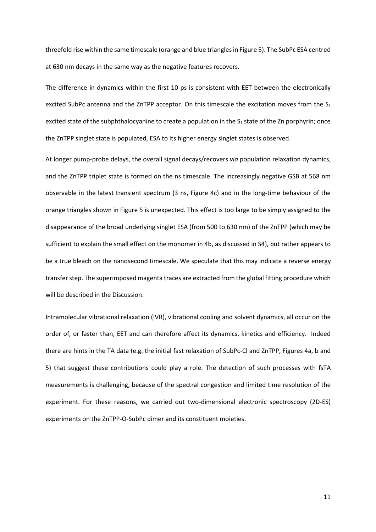threefold rise within the same timescale (orange and blue triangles in Figure 5). The SubPc ESA centred at 630 nm decays in the same way as the negative features recovers.

The difference in dynamics within the first 10 ps is consistent with EET between the electronically excited SubPc antenna and the ZnTPP acceptor. On this timescale the excitation moves from the  $S_1$ excited state of the subphthalocyanine to create a population in the  $S_1$  state of the Zn porphyrin; once the ZnTPP singlet state is populated, ESA to its higher energy singlet states is observed.

At longer pump-probe delays, the overall signal decays/recovers *via* population relaxation dynamics, and the ZnTPP triplet state is formed on the ns timescale. The increasingly negative GSB at 568 nm observable in the latest transient spectrum (3 ns, Figure 4c) and in the long-time behaviour of the orange triangles shown in Figure 5 is unexpected. This effect is too large to be simply assigned to the disappearance of the broad underlying singlet ESA (from 500 to 630 nm) of the ZnTPP (which may be sufficient to explain the small effect on the monomer in 4b, as discussed in S4), but rather appears to be a true bleach on the nanosecond timescale. We speculate that this may indicate a reverse energy transfer step. The superimposed magenta traces are extracted from the global fitting procedure which will be described in the Discussion.

Intramolecular vibrational relaxation (IVR), vibrational cooling and solvent dynamics, all occur on the order of, or faster than, EET and can therefore affect its dynamics, kinetics and efficiency. Indeed there are hints in the TA data (e.g. the initial fast relaxation of SubPc-Cl and ZnTPP, Figures 4a, b and 5) that suggest these contributions could play a role. The detection of such processes with fsTA measurements is challenging, because of the spectral congestion and limited time resolution of the experiment. For these reasons, we carried out two-dimensional electronic spectroscopy (2D-ES) experiments on the ZnTPP-O-SubPc dimer and its constituent moieties.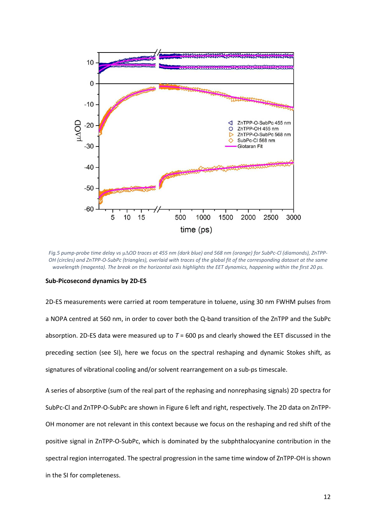

*Fig.5 pump-probe time delay vs* μΔ*OD traces at 455 nm (dark blue) and 568 nm (orange) for SubPc-Cl (diamonds), ZnTPP-OH (circles) and ZnTPP-O-SubPc (triangles), overlaid with traces of the global fit of the corresponding dataset at the same wavelength (magenta). The break on the horizontal axis highlights the EET dynamics, happening within the first 20 ps.* 

## **Sub-Picosecond dynamics by 2D-ES**

2D-ES measurements were carried at room temperature in toluene, using 30 nm FWHM pulses from a NOPA centred at 560 nm, in order to cover both the Q-band transition of the ZnTPP and the SubPc absorption. 2D-ES data were measured up to *T* = 600 ps and clearly showed the EET discussed in the preceding section (see SI), here we focus on the spectral reshaping and dynamic Stokes shift, as signatures of vibrational cooling and/or solvent rearrangement on a sub-ps timescale.

A series of absorptive (sum of the real part of the rephasing and nonrephasing signals) 2D spectra for SubPc-Cl and ZnTPP-O-SubPc are shown in Figure 6 left and right, respectively. The 2D data on ZnTPP-OH monomer are not relevant in this context because we focus on the reshaping and red shift of the positive signal in ZnTPP-O-SubPc, which is dominated by the subphthalocyanine contribution in the spectral region interrogated. The spectral progression in the same time window of ZnTPP-OH is shown in the SI for completeness.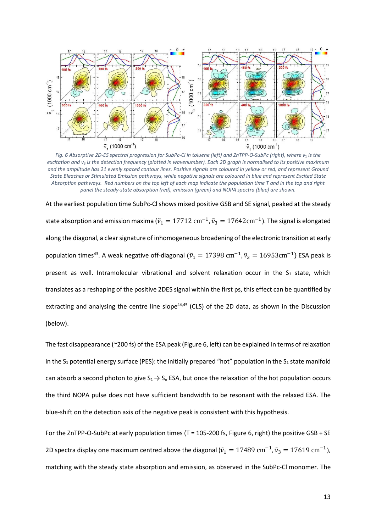

*Fig. 6 Absorptive 2D-ES spectral progression for SubPc-Cl in toluene (left) and ZnTPP-O-SubPc (right), where v<sub>1</sub> is the excitation and v*3 *is the detection frequency (plotted in wavenumber). Each 2D graph is normalised to its positive maximum and the amplitude has 21 evenly spaced contour lines. Positive signals are coloured in yellow or red, and represent Ground State Bleaches or Stimulated Emission pathways, while negative signals are coloured in blue and represent Excited State Absorption pathways. Red numbers on the top left of each map indicate the population time T and in the top and right panel the steady-state absorption (red), emission (green) and NOPA spectra (blue) are shown.* 

At the earliest population time SubPc-Cl shows mixed positive GSB and SE signal, peaked at the steady state absorption and emission maxima ( $\tilde{v}_1 = 17712 \text{ cm}^{-1}$ ,  $\tilde{v}_3 = 17642 \text{ cm}^{-1}$ ). The signal is elongated along the diagonal, a clear signature of inhomogeneous broadening of the electronic transition at early population times<sup>43</sup>. A weak negative off-diagonal ( $\tilde{v}_1 = 17398 \text{ cm}^{-1}$ ,  $\tilde{v}_3 = 16953 \text{ cm}^{-1}$ ) ESA peak is present as well. Intramolecular vibrational and solvent relaxation occur in the  $S_1$  state, which translates as a reshaping of the positive 2DES signal within the first ps, this effect can be quantified by extracting and analysing the centre line slope<sup>44,45</sup> (CLS) of the 2D data, as shown in the Discussion (below).

The fast disappearance (~200 fs) of the ESA peak (Figure 6, left) can be explained in terms of relaxation in the  $S_1$  potential energy surface (PES): the initially prepared "hot" population in the  $S_1$  state manifold can absorb a second photon to give  $S_1 \rightarrow S_n$  ESA, but once the relaxation of the hot population occurs the third NOPA pulse does not have sufficient bandwidth to be resonant with the relaxed ESA. The blue-shift on the detection axis of the negative peak is consistent with this hypothesis.

For the ZnTPP-O-SubPc at early population times (T = 105-200 fs, Figure 6, right) the positive GSB + SE 2D spectra display one maximum centred above the diagonal ( $\tilde{v}_1 = 17489 \text{ cm}^{-1}$ ,  $\tilde{v}_3 = 17619 \text{ cm}^{-1}$ ), matching with the steady state absorption and emission, as observed in the SubPc-Cl monomer. The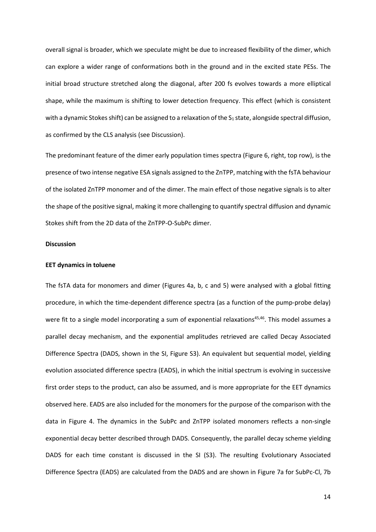overall signal is broader, which we speculate might be due to increased flexibility of the dimer, which can explore a wider range of conformations both in the ground and in the excited state PESs. The initial broad structure stretched along the diagonal, after 200 fs evolves towards a more elliptical shape, while the maximum is shifting to lower detection frequency. This effect (which is consistent with a dynamic Stokes shift) can be assigned to a relaxation of the  $S_1$  state, alongside spectral diffusion, as confirmed by the CLS analysis (see Discussion).

The predominant feature of the dimer early population times spectra (Figure 6, right, top row), is the presence of two intense negative ESA signals assigned to the ZnTPP, matching with the fsTA behaviour of the isolated ZnTPP monomer and of the dimer. The main effect of those negative signals is to alter the shape of the positive signal, making it more challenging to quantify spectral diffusion and dynamic Stokes shift from the 2D data of the ZnTPP-O-SubPc dimer.

## **Discussion**

## **EET dynamics in toluene**

The fsTA data for monomers and dimer (Figures 4a, b, c and 5) were analysed with a global fitting procedure, in which the time-dependent difference spectra (as a function of the pump-probe delay) were fit to a single model incorporating a sum of exponential relaxations<sup>45,46</sup>. This model assumes a parallel decay mechanism, and the exponential amplitudes retrieved are called Decay Associated Difference Spectra (DADS, shown in the SI, Figure S3). An equivalent but sequential model, yielding evolution associated difference spectra (EADS), in which the initial spectrum is evolving in successive first order steps to the product, can also be assumed, and is more appropriate for the EET dynamics observed here. EADS are also included for the monomers for the purpose of the comparison with the data in Figure 4. The dynamics in the SubPc and ZnTPP isolated monomers reflects a non-single exponential decay better described through DADS. Consequently, the parallel decay scheme yielding DADS for each time constant is discussed in the SI (S3). The resulting Evolutionary Associated Difference Spectra (EADS) are calculated from the DADS and are shown in Figure 7a for SubPc-Cl, 7b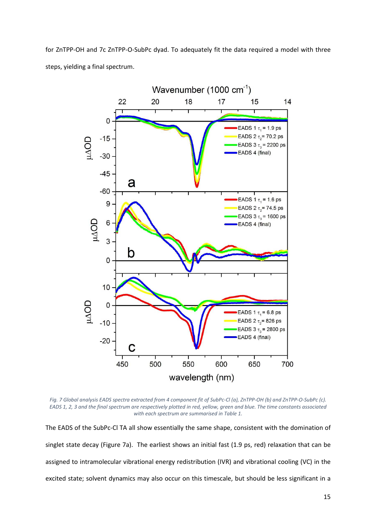for ZnTPP-OH and 7c ZnTPP-O-SubPc dyad. To adequately fit the data required a model with three steps, yielding a final spectrum.



*Fig. 7 Global analysis EADS spectra extracted from 4 component fit of SubPc-Cl (a), ZnTPP-OH (b) and ZnTPP-O-SubPc (c). EADS 1, 2, 3 and the final spectrum are respectively plotted in red, yellow, green and blue. The time constants associated with each spectrum are summarised in Table 1.* 

The EADS of the SubPc-Cl TA all show essentially the same shape, consistent with the domination of singlet state decay (Figure 7a). The earliest shows an initial fast (1.9 ps, red) relaxation that can be assigned to intramolecular vibrational energy redistribution (IVR) and vibrational cooling (VC) in the excited state; solvent dynamics may also occur on this timescale, but should be less significant in a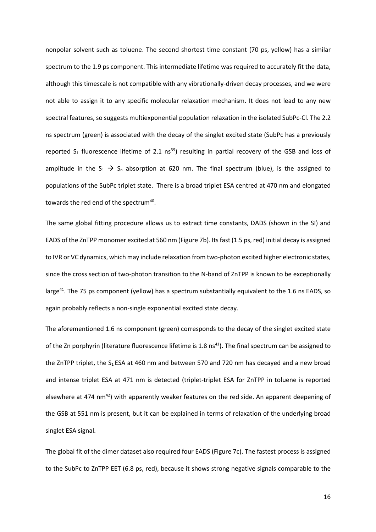nonpolar solvent such as toluene. The second shortest time constant (70 ps, yellow) has a similar spectrum to the 1.9 ps component. This intermediate lifetime was required to accurately fit the data, although this timescale is not compatible with any vibrationally-driven decay processes, and we were not able to assign it to any specific molecular relaxation mechanism. It does not lead to any new spectral features, so suggests multiexponential population relaxation in the isolated SubPc-Cl. The 2.2 ns spectrum (green) is associated with the decay of the singlet excited state (SubPc has a previously reported  $S_1$  fluorescence lifetime of 2.1 ns<sup>39</sup>) resulting in partial recovery of the GSB and loss of amplitude in the  $S_1 \rightarrow S_n$  absorption at 620 nm. The final spectrum (blue), is the assigned to populations of the SubPc triplet state. There is a broad triplet ESA centred at 470 nm and elongated towards the red end of the spectrum<sup>40</sup>.

The same global fitting procedure allows us to extract time constants, DADS (shown in the SI) and EADS of the ZnTPP monomer excited at 560 nm (Figure 7b). Its fast (1.5 ps, red) initial decay is assigned to IVR or VC dynamics, which may include relaxation from two-photon excited higher electronic states, since the cross section of two-photon transition to the N-band of ZnTPP is known to be exceptionally large<sup>41</sup>. The 75 ps component (yellow) has a spectrum substantially equivalent to the 1.6 ns EADS, so again probably reflects a non-single exponential excited state decay.

The aforementioned 1.6 ns component (green) corresponds to the decay of the singlet excited state of the Zn porphyrin (literature fluorescence lifetime is 1.8  $ns<sup>41</sup>$ ). The final spectrum can be assigned to the ZnTPP triplet, the  $S_1$  ESA at 460 nm and between 570 and 720 nm has decayed and a new broad and intense triplet ESA at 471 nm is detected (triplet-triplet ESA for ZnTPP in toluene is reported elsewhere at 474 nm<sup>42</sup>) with apparently weaker features on the red side. An apparent deepening of the GSB at 551 nm is present, but it can be explained in terms of relaxation of the underlying broad singlet ESA signal.

The global fit of the dimer dataset also required four EADS (Figure 7c). The fastest process is assigned to the SubPc to ZnTPP EET (6.8 ps, red), because it shows strong negative signals comparable to the

16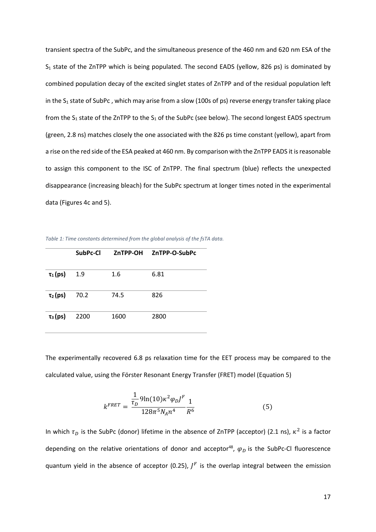transient spectra of the SubPc, and the simultaneous presence of the 460 nm and 620 nm ESA of the  $S_1$  state of the ZnTPP which is being populated. The second EADS (yellow, 826 ps) is dominated by combined population decay of the excited singlet states of ZnTPP and of the residual population left in the  $S_1$  state of SubPc, which may arise from a slow (100s of ps) reverse energy transfer taking place from the  $S_1$  state of the ZnTPP to the  $S_1$  of the SubPc (see below). The second longest EADS spectrum (green, 2.8 ns) matches closely the one associated with the 826 ps time constant (yellow), apart from a rise on the red side of the ESA peaked at 460 nm. By comparison with the ZnTPP EADS it is reasonable to assign this component to the ISC of ZnTPP. The final spectrum (blue) reflects the unexpected disappearance (increasing bleach) for the SubPc spectrum at longer times noted in the experimental data (Figures 4c and 5).

|               | SubPc-Cl | ZnTPP-OH | ZnTPP-O-SubPc |
|---------------|----------|----------|---------------|
| $\tau_1$ (ps) | 1.9      | 1.6      | 6.81          |
| $\tau_2$ (ps) | 70.2     | 74.5     | 826           |
| $\tau_3$ (ps) | 2200     | 1600     | 2800          |

*Table 1: Time constants determined from the global analysis of the fsTA data.* 

The experimentally recovered 6.8 ps relaxation time for the EET process may be compared to the calculated value, using the Förster Resonant Energy Transfer (FRET) model (Equation 5)

$$
k^{FRET} = \frac{\frac{1}{\tau_D} 9 \ln(10) \kappa^2 \varphi_D J^F}{128 \pi^5 N_A n^4} \frac{1}{R^6}
$$
 (5)

In which  $\tau_D$  is the SubPc (donor) lifetime in the absence of ZnTPP (acceptor) (2.1 ns),  $\kappa^2$  is a factor depending on the relative orientations of donor and acceptor<sup>48</sup>,  $\varphi_D$  is the SubPc-Cl fluorescence quantum yield in the absence of acceptor (0.25),  $J<sup>F</sup>$  is the overlap integral between the emission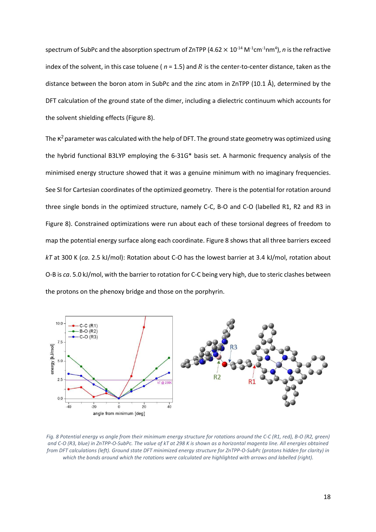spectrum of SubPc and the absorption spectrum of ZnTPP (4.62  $\times$   $10^{-14}$  M<sup>-1</sup>cm<sup>-1</sup>nm<sup>4</sup>),  $n$  is the refractive index of the solvent, in this case toluene ( $n = 1.5$ ) and R is the center-to-center distance, taken as the distance between the boron atom in SubPc and the zinc atom in ZnTPP (10.1 Å), determined by the DFT calculation of the ground state of the dimer, including a dielectric continuum which accounts for the solvent shielding effects (Figure 8).

The  $\kappa^2$  parameter was calculated with the help of DFT. The ground state geometry was optimized using the hybrid functional B3LYP employing the 6-31G\* basis set. A harmonic frequency analysis of the minimised energy structure showed that it was a genuine minimum with no imaginary frequencies. See SI for Cartesian coordinates of the optimized geometry. There is the potential for rotation around three single bonds in the optimized structure, namely C-C, B-O and C-O (labelled R1, R2 and R3 in Figure 8). Constrained optimizations were run about each of these torsional degrees of freedom to map the potential energy surface along each coordinate. Figure 8 shows that all three barriers exceed *kT* at 300 K (*ca*. 2.5 kJ/mol): Rotation about C-O has the lowest barrier at 3.4 kJ/mol, rotation about O-B is *ca*. 5.0 kJ/mol, with the barrier to rotation for C-C being very high, due to steric clashes between the protons on the phenoxy bridge and those on the porphyrin.



*Fig. 8 Potential energy vs angle from their minimum energy structure for rotations around the C-C (R1, red), B-O (R2, green) and C-O (R3, blue) in ZnTPP-O-SubPc. The value of kT at 298 K is shown as a horizontal magenta line. All energies obtained from DFT calculations (left). Ground state DFT minimized energy structure for ZnTPP-O-SubPc (protons hidden for clarity) in*  which the bonds around which the rotations were calculated are highlighted with arrows and labelled (right).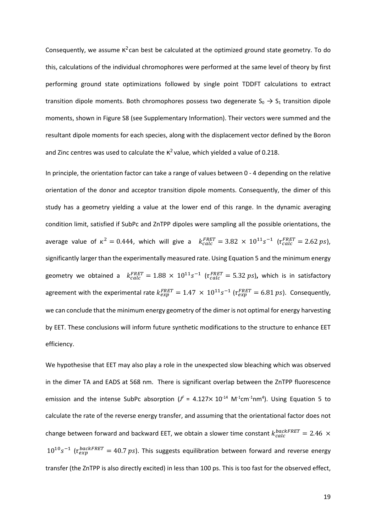Consequently, we assume  $\kappa^2$  can best be calculated at the optimized ground state geometry. To do this, calculations of the individual chromophores were performed at the same level of theory by first performing ground state optimizations followed by single point TDDFT calculations to extract transition dipole moments. Both chromophores possess two degenerate  $S_0 \rightarrow S_1$  transition dipole moments, shown in Figure S8 (see Supplementary Information). Their vectors were summed and the resultant dipole moments for each species, along with the displacement vector defined by the Boron and Zinc centres was used to calculate the  $\kappa^2$  value, which yielded a value of 0.218.

In principle, the orientation factor can take a range of values between 0 - 4 depending on the relative orientation of the donor and acceptor transition dipole moments. Consequently, the dimer of this study has a geometry yielding a value at the lower end of this range. In the dynamic averaging condition limit, satisfied if SubPc and ZnTPP dipoles were sampling all the possible orientations, the average value of  $\kappa^2 = 0.444$ , which will give a  $k_{calc}^{FRET} = 3.82 \times 10^{11} s^{-1}$  ( $\tau_{calc}^{FRET} = 2.62 \text{ ps}$ ), significantly larger than the experimentally measured rate. Using Equation 5 and the minimum energy geometry we obtained a  $k_{calc}^{FRET} = 1.88 \times 10^{11} s^{-1}$  ( $\tau_{calc}^{FRET} = 5.32 \text{ ps}$ ), which is in satisfactory agreement with the experimental rate  $k_{exp}^{FRET} = 1.47 \times 10^{11} s^{-1}$  ( $\tau_{exp}^{FRET} = 6.81 \, ps$ ). Consequently, we can conclude that the minimum energy geometry of the dimer is not optimal for energy harvesting by EET. These conclusions will inform future synthetic modifications to the structure to enhance EET efficiency.

We hypothesise that EET may also play a role in the unexpected slow bleaching which was observed in the dimer TA and EADS at 568 nm. There is significant overlap between the ZnTPP fluorescence emission and the intense SubPc absorption  $(J^F = 4.127 \times 10^{-14} \text{ M}^{-1} \text{cm}^{-1} \text{nm}^4)$ . Using Equation 5 to calculate the rate of the reverse energy transfer, and assuming that the orientational factor does not change between forward and backward EET, we obtain a slower time constant  $k_{calc}^{backFRET} = 2.46 \times$  $10^{10}s^{-1}$  ( $\tau_{exp}^{backFRET}$  = 40.7 ps). This suggests equilibration between forward and reverse energy transfer (the ZnTPP is also directly excited) in less than 100 ps. This is too fast for the observed effect,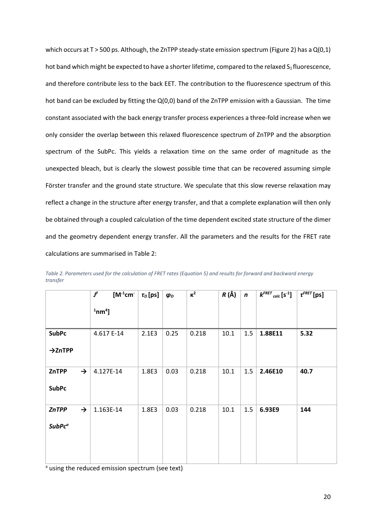which occurs at T > 500 ps. Although, the ZnTPP steady-state emission spectrum (Figure 2) has a Q(0,1) hot band which might be expected to have a shorter lifetime, compared to the relaxed  $S_1$  fluorescence, and therefore contribute less to the back EET. The contribution to the fluorescence spectrum of this hot band can be excluded by fitting the Q(0,0) band of the ZnTPP emission with a Gaussian. The time constant associated with the back energy transfer process experiences a three-fold increase when we only consider the overlap between this relaxed fluorescence spectrum of ZnTPP and the absorption spectrum of the SubPc. This yields a relaxation time on the same order of magnitude as the unexpected bleach, but is clearly the slowest possible time that can be recovered assuming simple Förster transfer and the ground state structure. We speculate that this slow reverse relaxation may reflect a change in the structure after energy transfer, and that a complete explanation will then only be obtained through a coupled calculation of the time dependent excited state structure of the dimer and the geometry dependent energy transfer. All the parameters and the results for the FRET rate calculations are summarised in Table 2:

|                                     |               | $\pmb{J}^{\pmb{F}}$<br>$[M^{-1}cm^{-1}]$ | $\tau_D$ [ps] | $\boldsymbol{\varphi}_D$ | $\kappa^2$ | $R(\AA)$ | $\mathbf n$ | $k^{FRET}$ calc $[s^{-1}]$ | $\tau^{\text{FRET}}$ [ps] |
|-------------------------------------|---------------|------------------------------------------|---------------|--------------------------|------------|----------|-------------|----------------------------|---------------------------|
|                                     |               | $1$ nm <sup>4</sup> ]                    |               |                          |            |          |             |                            |                           |
| <b>SubPc</b><br>$\rightarrow$ ZnTPP |               | 4.617 E-14                               | 2.1E3         | 0.25                     | 0.218      | 10.1     | 1.5         | 1.88E11                    | 5.32                      |
| ZnTPP<br><b>SubPc</b>               | $\rightarrow$ | 4.127E-14                                | 1.8E3         | 0.03                     | 0.218      | 10.1     | 1.5         | 2.46E10                    | 40.7                      |
| <b>ZnTPP</b><br>SubPc <sup>a</sup>  | $\rightarrow$ | 1.163E-14                                | 1.8E3         | 0.03                     | 0.218      | 10.1     | 1.5         | 6.93E9                     | 144                       |

*Table 2. Parameters used for the calculation of FRET rates (Equation 5) and results for forward and backward energy transfer* 

<sup>a</sup> using the reduced emission spectrum (see text)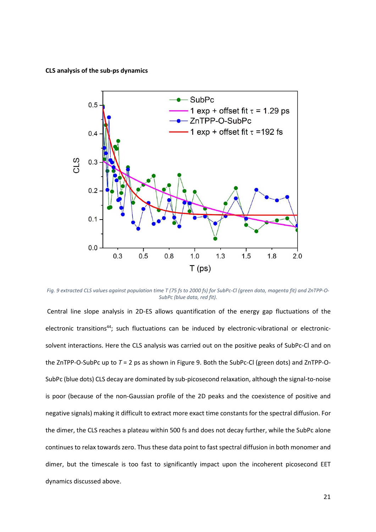**CLS analysis of the sub-ps dynamics**



*Fig. 9 extracted CLS values against population time T (75 fs to 2000 fs) for SubPc-Cl (green data, magenta fit) and ZnTPP-O-SubPc (blue data, red fit).* 

 Central line slope analysis in 2D-ES allows quantification of the energy gap fluctuations of the electronic transitions<sup>44</sup>; such fluctuations can be induced by electronic-vibrational or electronicsolvent interactions. Here the CLS analysis was carried out on the positive peaks of SubPc-Cl and on the ZnTPP-O-SubPc up to *T* = 2 ps as shown in Figure 9. Both the SubPc-Cl (green dots) and ZnTPP-O-SubPc (blue dots) CLS decay are dominated by sub-picosecond relaxation, although the signal-to-noise is poor (because of the non-Gaussian profile of the 2D peaks and the coexistence of positive and negative signals) making it difficult to extract more exact time constants for the spectral diffusion. For the dimer, the CLS reaches a plateau within 500 fs and does not decay further, while the SubPc alone continues to relax towards zero. Thus these data point to fast spectral diffusion in both monomer and dimer, but the timescale is too fast to significantly impact upon the incoherent picosecond EET dynamics discussed above.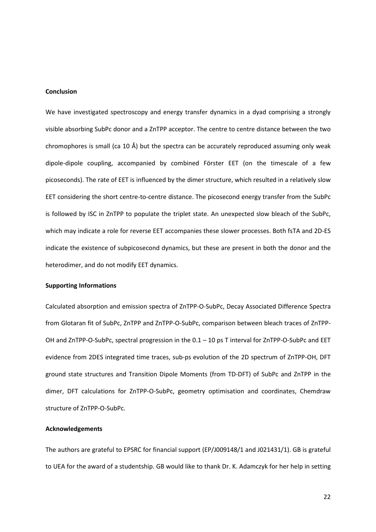## **Conclusion**

We have investigated spectroscopy and energy transfer dynamics in a dyad comprising a strongly visible absorbing SubPc donor and a ZnTPP acceptor. The centre to centre distance between the two chromophores is small (ca 10 Å) but the spectra can be accurately reproduced assuming only weak dipole-dipole coupling, accompanied by combined Förster EET (on the timescale of a few picoseconds). The rate of EET is influenced by the dimer structure, which resulted in a relatively slow EET considering the short centre-to-centre distance. The picosecond energy transfer from the SubPc is followed by ISC in ZnTPP to populate the triplet state. An unexpected slow bleach of the SubPc, which may indicate a role for reverse EET accompanies these slower processes. Both fsTA and 2D-ES indicate the existence of subpicosecond dynamics, but these are present in both the donor and the heterodimer, and do not modify EET dynamics.

## **Supporting Informations**

Calculated absorption and emission spectra of ZnTPP-O-SubPc, Decay Associated Difference Spectra from Glotaran fit of SubPc, ZnTPP and ZnTPP-O-SubPc, comparison between bleach traces of ZnTPP-OH and ZnTPP-O-SubPc, spectral progression in the  $0.1 - 10$  ps T interval for ZnTPP-O-SubPc and EET evidence from 2DES integrated time traces, sub-ps evolution of the 2D spectrum of ZnTPP-OH, DFT ground state structures and Transition Dipole Moments (from TD-DFT) of SubPc and ZnTPP in the dimer, DFT calculations for ZnTPP-O-SubPc, geometry optimisation and coordinates, Chemdraw structure of ZnTPP-O-SubPc.

## **Acknowledgements**

The authors are grateful to EPSRC for financial support (EP/J009148/1 and J021431/1). GB is grateful to UEA for the award of a studentship. GB would like to thank Dr. K. Adamczyk for her help in setting

22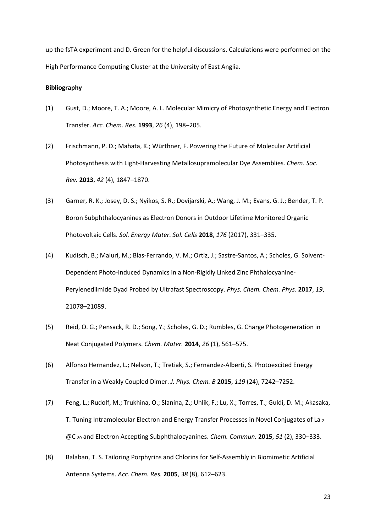up the fsTA experiment and D. Green for the helpful discussions. Calculations were performed on the High Performance Computing Cluster at the University of East Anglia.

## **Bibliography**

- (1) Gust, D.; Moore, T. A.; Moore, A. L. Molecular Mimicry of Photosynthetic Energy and Electron Transfer. *Acc. Chem. Res.* **1993**, *26* (4), 198–205.
- (2) Frischmann, P. D.; Mahata, K.; Würthner, F. Powering the Future of Molecular Artificial Photosynthesis with Light-Harvesting Metallosupramolecular Dye Assemblies. *Chem. Soc. Rev.* **2013**, *42* (4), 1847–1870.
- (3) Garner, R. K.; Josey, D. S.; Nyikos, S. R.; Dovijarski, A.; Wang, J. M.; Evans, G. J.; Bender, T. P. Boron Subphthalocyanines as Electron Donors in Outdoor Lifetime Monitored Organic Photovoltaic Cells. *Sol. Energy Mater. Sol. Cells* **2018**, *176* (2017), 331–335.
- (4) Kudisch, B.; Maiuri, M.; Blas-Ferrando, V. M.; Ortiz, J.; Sastre-Santos, A.; Scholes, G. Solvent-Dependent Photo-Induced Dynamics in a Non-Rigidly Linked Zinc Phthalocyanine-Perylenediimide Dyad Probed by Ultrafast Spectroscopy. *Phys. Chem. Chem. Phys.* **2017**, *19*, 21078–21089.
- (5) Reid, O. G.; Pensack, R. D.; Song, Y.; Scholes, G. D.; Rumbles, G. Charge Photogeneration in Neat Conjugated Polymers. *Chem. Mater.* **2014**, *26* (1), 561–575.
- (6) Alfonso Hernandez, L.; Nelson, T.; Tretiak, S.; Fernandez-Alberti, S. Photoexcited Energy Transfer in a Weakly Coupled Dimer. *J. Phys. Chem. B* **2015**, *119* (24), 7242–7252.
- (7) Feng, L.; Rudolf, M.; Trukhina, O.; Slanina, Z.; Uhlik, F.; Lu, X.; Torres, T.; Guldi, D. M.; Akasaka, T. Tuning Intramolecular Electron and Energy Transfer Processes in Novel Conjugates of La <sup>2</sup> @C 80 and Electron Accepting Subphthalocyanines. *Chem. Commun.* **2015**, *51* (2), 330–333.
- (8) Balaban, T. S. Tailoring Porphyrins and Chlorins for Self-Assembly in Biomimetic Artificial Antenna Systems. *Acc. Chem. Res.* **2005**, *38* (8), 612–623.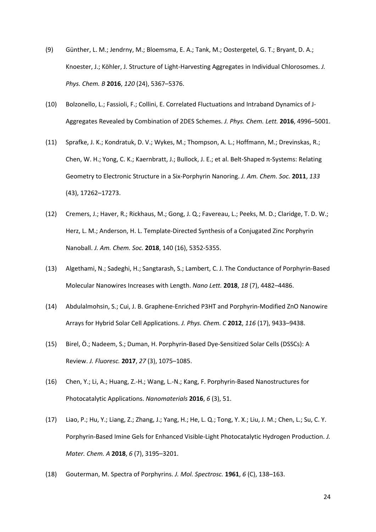- (9) Günther, L. M.; Jendrny, M.; Bloemsma, E. A.; Tank, M.; Oostergetel, G. T.; Bryant, D. A.; Knoester, J.; Köhler, J. Structure of Light-Harvesting Aggregates in Individual Chlorosomes. *J. Phys. Chem. B* **2016**, *120* (24), 5367–5376.
- (10) Bolzonello, L.; Fassioli, F.; Collini, E. Correlated Fluctuations and Intraband Dynamics of J-Aggregates Revealed by Combination of 2DES Schemes. *J. Phys. Chem. Lett.* **2016**, 4996–5001.
- (11) Sprafke, J. K.; Kondratuk, D. V.; Wykes, M.; Thompson, A. L.; Hoffmann, M.; Drevinskas, R.; Chen, W. H.; Yong, C. K.; Kaernbratt, J.; Bullock, J. E.; et al. Belt-Shaped π-Systems: Relating Geometry to Electronic Structure in a Six-Porphyrin Nanoring. *J. Am. Chem. Soc.* **2011**, *133* (43), 17262–17273.
- (12) Cremers, J.; Haver, R.; Rickhaus, M.; Gong, J. Q.; Favereau, L.; Peeks, M. D.; Claridge, T. D. W.; Herz, L. M.; Anderson, H. L. Template-Directed Synthesis of a Conjugated Zinc Porphyrin Nanoball. *J. Am. Chem. Soc.* **2018**, 140 (16), 5352-5355.
- (13) Algethami, N.; Sadeghi, H.; Sangtarash, S.; Lambert, C. J. The Conductance of Porphyrin-Based Molecular Nanowires Increases with Length. *Nano Lett.* **2018**, *18* (7), 4482–4486.
- (14) Abdulalmohsin, S.; Cui, J. B. Graphene-Enriched P3HT and Porphyrin-Modified ZnO Nanowire Arrays for Hybrid Solar Cell Applications. *J. Phys. Chem. C* **2012**, *116* (17), 9433–9438.
- (15) Birel, Ö.; Nadeem, S.; Duman, H. Porphyrin-Based Dye-Sensitized Solar Cells (DSSCs): A Review. *J. Fluoresc.* **2017**, *27* (3), 1075–1085.
- (16) Chen, Y.; Li, A.; Huang, Z.-H.; Wang, L.-N.; Kang, F. Porphyrin-Based Nanostructures for Photocatalytic Applications. *Nanomaterials* **2016**, *6* (3), 51.
- (17) Liao, P.; Hu, Y.; Liang, Z.; Zhang, J.; Yang, H.; He, L. Q.; Tong, Y. X.; Liu, J. M.; Chen, L.; Su, C. Y. Porphyrin-Based Imine Gels for Enhanced Visible-Light Photocatalytic Hydrogen Production. *J. Mater. Chem. A* **2018**, *6* (7), 3195–3201.
- (18) Gouterman, M. Spectra of Porphyrins. *J. Mol. Spectrosc.* **1961**, *6* (C), 138–163.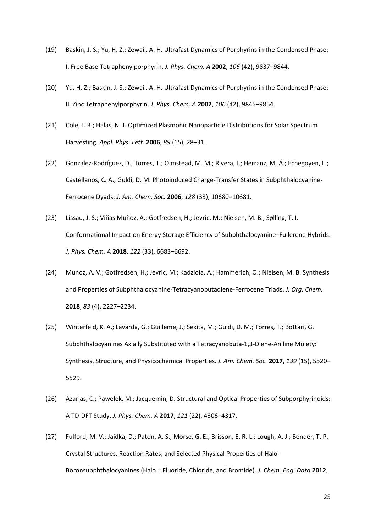- (19) Baskin, J. S.; Yu, H. Z.; Zewail, A. H. Ultrafast Dynamics of Porphyrins in the Condensed Phase: I. Free Base Tetraphenylporphyrin. *J. Phys. Chem. A* **2002**, *106* (42), 9837–9844.
- (20) Yu, H. Z.; Baskin, J. S.; Zewail, A. H. Ultrafast Dynamics of Porphyrins in the Condensed Phase: II. Zinc Tetraphenylporphyrin. *J. Phys. Chem. A* **2002**, *106* (42), 9845–9854.
- (21) Cole, J. R.; Halas, N. J. Optimized Plasmonic Nanoparticle Distributions for Solar Spectrum Harvesting. *Appl. Phys. Lett.* **2006**, *89* (15), 28–31.
- (22) Gonzalez-Rodríguez, D.; Torres, T.; Olmstead, M. M.; Rivera, J.; Herranz, M. Á.; Echegoyen, L.; Castellanos, C. A.; Guldi, D. M. Photoinduced Charge-Transfer States in Subphthalocyanine-Ferrocene Dyads. *J. Am. Chem. Soc.* **2006**, *128* (33), 10680–10681.
- (23) Lissau, J. S.; Viñas Muñoz, A.; Gotfredsen, H.; Jevric, M.; Nielsen, M. B.; Sølling, T. I. Conformational Impact on Energy Storage Efficiency of Subphthalocyanine–Fullerene Hybrids. *J. Phys. Chem. A* **2018**, *122* (33), 6683–6692.
- (24) Munoz, A. V.; Gotfredsen, H.; Jevric, M.; Kadziola, A.; Hammerich, O.; Nielsen, M. B. Synthesis and Properties of Subphthalocyanine-Tetracyanobutadiene-Ferrocene Triads. *J. Org. Chem.* **2018**, *83* (4), 2227–2234.
- (25) Winterfeld, K. A.; Lavarda, G.; Guilleme, J.; Sekita, M.; Guldi, D. M.; Torres, T.; Bottari, G. Subphthalocyanines Axially Substituted with a Tetracyanobuta-1,3-Diene-Aniline Moiety: Synthesis, Structure, and Physicochemical Properties. *J. Am. Chem. Soc.* **2017**, *139* (15), 5520– 5529.
- (26) Azarias, C.; Pawelek, M.; Jacquemin, D. Structural and Optical Properties of Subporphyrinoids: A TD-DFT Study. *J. Phys. Chem. A* **2017**, *121* (22), 4306–4317.
- (27) Fulford, M. V.; Jaidka, D.; Paton, A. S.; Morse, G. E.; Brisson, E. R. L.; Lough, A. J.; Bender, T. P. Crystal Structures, Reaction Rates, and Selected Physical Properties of Halo-Boronsubphthalocyanines (Halo = Fluoride, Chloride, and Bromide). *J. Chem. Eng. Data* **2012**,

25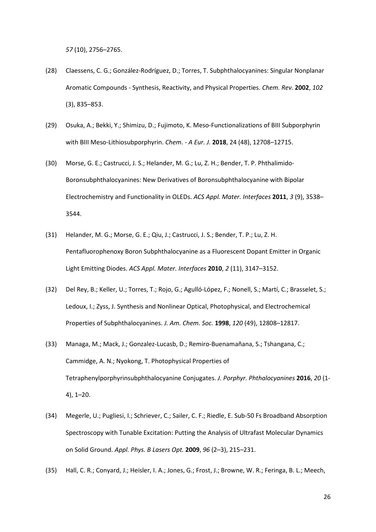*57* (10), 2756–2765.

- (28) Claessens, C. G.; González-Rodríguez, D.; Torres, T. Subphthalocyanines: Singular Nonplanar Aromatic Compounds - Synthesis, Reactivity, and Physical Properties. *Chem. Rev.* **2002**, *102* (3), 835–853.
- (29) Osuka, A.; Bekki, Y.; Shimizu, D.; Fujimoto, K. Meso-Functionalizations of BIII Subporphyrin with BIII Meso-Lithiosubporphyrin. *Chem. - A Eur. J.* **2018**, 24 (48), 12708–12715.
- (30) Morse, G. E.; Castrucci, J. S.; Helander, M. G.; Lu, Z. H.; Bender, T. P. Phthalimido-Boronsubphthalocyanines: New Derivatives of Boronsubphthalocyanine with Bipolar Electrochemistry and Functionality in OLEDs. *ACS Appl. Mater. Interfaces* **2011**, *3* (9), 3538– 3544.
- (31) Helander, M. G.; Morse, G. E.; Qiu, J.; Castrucci, J. S.; Bender, T. P.; Lu, Z. H. Pentafluorophenoxy Boron Subphthalocyanine as a Fluorescent Dopant Emitter in Organic Light Emitting Diodes. *ACS Appl. Mater. Interfaces* **2010**, *2* (11), 3147–3152.
- (32) Del Rey, B.; Keller, U.; Torres, T.; Rojo, G.; Agulló-López, F.; Nonell, S.; Martí, C.; Brasselet, S.; Ledoux, I.; Zyss, J. Synthesis and Nonlinear Optical, Photophysical, and Electrochemical Properties of Subphthalocyanines. *J. Am. Chem. Soc.* **1998**, *120* (49), 12808–12817.
- (33) Managa, M.; Mack, J.; Gonzalez-Lucasb, D.; Remiro-Buenamañana, S.; Tshangana, C.; Cammidge, A. N.; Nyokong, T. Photophysical Properties of Tetraphenylporphyrinsubphthalocyanine Conjugates. *J. Porphyr. Phthalocyanines* **2016**, *20* (1- 4), 1–20.
- (34) Megerle, U.; Pugliesi, I.; Schriever, C.; Sailer, C. F.; Riedle, E. Sub-50 Fs Broadband Absorption Spectroscopy with Tunable Excitation: Putting the Analysis of Ultrafast Molecular Dynamics on Solid Ground. *Appl. Phys. B Lasers Opt.* **2009**, *96* (2–3), 215–231.
- (35) Hall, C. R.; Conyard, J.; Heisler, I. A.; Jones, G.; Frost, J.; Browne, W. R.; Feringa, B. L.; Meech,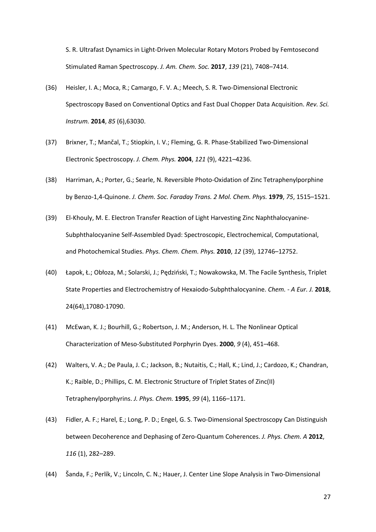S. R. Ultrafast Dynamics in Light-Driven Molecular Rotary Motors Probed by Femtosecond Stimulated Raman Spectroscopy. *J. Am. Chem. Soc.* **2017**, *139* (21), 7408–7414.

- (36) Heisler, I. A.; Moca, R.; Camargo, F. V. A.; Meech, S. R. Two-Dimensional Electronic Spectroscopy Based on Conventional Optics and Fast Dual Chopper Data Acquisition. *Rev. Sci. Instrum.* **2014**, *85* (6),63030.
- (37) Brixner, T.; Mančal, T.; Stiopkin, I. V.; Fleming, G. R. Phase-Stabilized Two-Dimensional Electronic Spectroscopy. *J. Chem. Phys.* **2004**, *121* (9), 4221–4236.
- (38) Harriman, A.; Porter, G.; Searle, N. Reversible Photo-Oxidation of Zinc Tetraphenylporphine by Benzo-1,4-Quinone. *J. Chem. Soc. Faraday Trans. 2 Mol. Chem. Phys.* **1979**, *75*, 1515–1521.
- (39) El-Khouly, M. E. Electron Transfer Reaction of Light Harvesting Zinc Naphthalocyanine-Subphthalocyanine Self-Assembled Dyad: Spectroscopic, Electrochemical, Computational, and Photochemical Studies. *Phys. Chem. Chem. Phys.* **2010**, *12* (39), 12746–12752.
- (40) Łapok, Ł.; Obłoza, M.; Solarski, J.; Pędziński, T.; Nowakowska, M. The Facile Synthesis, Triplet State Properties and Electrochemistry of Hexaiodo-Subphthalocyanine. *Chem. - A Eur. J.* **2018**, 24(64),17080-17090.
- (41) McEwan, K. J.; Bourhill, G.; Robertson, J. M.; Anderson, H. L. The Nonlinear Optical Characterization of Meso-Substituted Porphyrin Dyes. **2000**, *9* (4), 451–468.
- (42) Walters, V. A.; De Paula, J. C.; Jackson, B.; Nutaitis, C.; Hall, K.; Lind, J.; Cardozo, K.; Chandran, K.; Raible, D.; Phillips, C. M. Electronic Structure of Triplet States of Zinc(II) Tetraphenylporphyrins. *J. Phys. Chem.* **1995**, *99* (4), 1166–1171.
- (43) Fidler, A. F.; Harel, E.; Long, P. D.; Engel, G. S. Two-Dimensional Spectroscopy Can Distinguish between Decoherence and Dephasing of Zero-Quantum Coherences. *J. Phys. Chem. A* **2012**, *116* (1), 282–289.
- (44) Šanda, F.; Perlík, V.; Lincoln, C. N.; Hauer, J. Center Line Slope Analysis in Two-Dimensional